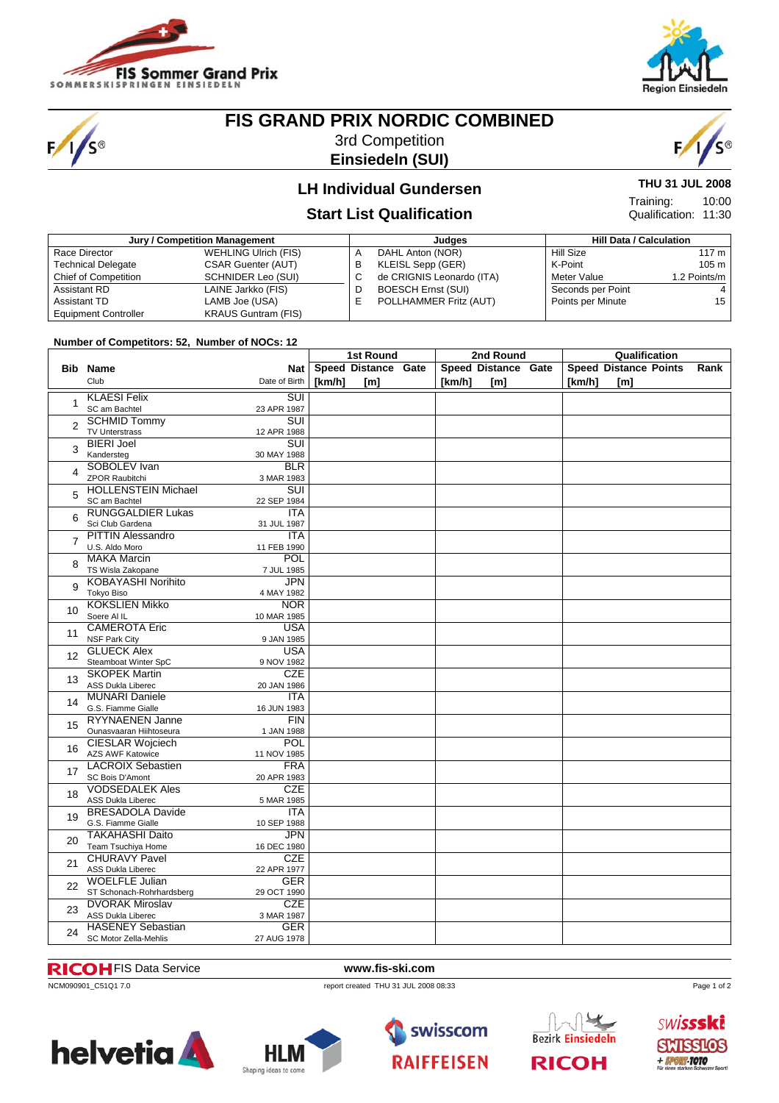

S®



# **FIS GRAND PRIX NORDIC COMBINED**

3rd Competition **Einsiedeln (SUI)**



10:00

**THU 31 JUL 2008**

Qualification: 11:30

Training:

### **LH Individual Gundersen**

### **Start List Qualification**

| Jury / Competition Management |                             |    | Judges                    | <b>Hill Data / Calculation</b> |                   |                  |
|-------------------------------|-----------------------------|----|---------------------------|--------------------------------|-------------------|------------------|
| Race Director                 | <b>WEHLING Ulrich (FIS)</b> | A  | DAHL Anton (NOR)          |                                | <b>Hill Size</b>  | 117 m            |
| <b>Technical Delegate</b>     | <b>CSAR Guenter (AUT)</b>   | в  | KLEISL Sepp (GER)         |                                | K-Point           | 105 <sub>m</sub> |
| <b>Chief of Competition</b>   | <b>SCHNIDER Leo (SUI)</b>   | ◡  | de CRIGNIS Leonardo (ITA) |                                | Meter Value       | 1.2 Points/m     |
| Assistant RD                  | LAINE Jarkko (FIS)          | D  | <b>BOESCH Ernst (SUI)</b> |                                | Seconds per Point | 4                |
| Assistant TD                  | LAMB Joe (USA)              | F. | POLLHAMMER Fritz (AUT)    |                                | Points per Minute | 15               |
| <b>Equipment Controller</b>   | <b>KRAUS Guntram (FIS)</b>  |    |                           |                                |                   |                  |

### **Number of Competitors: 52, Number of NOCs: 12**

| Hamper or competitors, ez, namper or no cs. 12 |                                                     | 1st Round                 |        |                     | 2nd Round |        |                     | Qualification |        |                              |      |
|------------------------------------------------|-----------------------------------------------------|---------------------------|--------|---------------------|-----------|--------|---------------------|---------------|--------|------------------------------|------|
|                                                | <b>Bib Name</b>                                     | Nat                       |        | Speed Distance Gate |           |        | Speed Distance Gate |               |        | <b>Speed Distance Points</b> | Rank |
|                                                | Club                                                | Date of Birth             | [km/h] | [ <sub>m</sub> ]    |           | [km/h] | [m]                 |               | [km/h] | [m]                          |      |
|                                                |                                                     |                           |        |                     |           |        |                     |               |        |                              |      |
| $\mathbf{1}$                                   | <b>KLAESI Felix</b>                                 | $\overline{\text{SUI}}$   |        |                     |           |        |                     |               |        |                              |      |
| $\overline{2}$<br>3                            | SC am Bachtel                                       | 23 APR 1987               |        |                     |           |        |                     |               |        |                              |      |
|                                                | <b>SCHMID Tommy</b>                                 | SUI                       |        |                     |           |        |                     |               |        |                              |      |
|                                                | <b>TV Unterstrass</b>                               | 12 APR 1988               |        |                     |           |        |                     |               |        |                              |      |
|                                                | <b>BIERI Joel</b>                                   | SUI                       |        |                     |           |        |                     |               |        |                              |      |
| $\overline{4}$                                 | Kandersteg<br>SOBOLEV Ivan                          | 30 MAY 1988               |        |                     |           |        |                     |               |        |                              |      |
|                                                | <b>ZPOR Raubitchi</b>                               | <b>BLR</b><br>3 MAR 1983  |        |                     |           |        |                     |               |        |                              |      |
|                                                | <b>HOLLENSTEIN Michael</b>                          | $\overline{\text{SUI}}$   |        |                     |           |        |                     |               |        |                              |      |
| 5                                              | SC am Bachtel                                       | 22 SEP 1984               |        |                     |           |        |                     |               |        |                              |      |
|                                                | <b>RUNGGALDIER Lukas</b>                            | <b>ITA</b>                |        |                     |           |        |                     |               |        |                              |      |
| 6                                              | Sci Club Gardena                                    | 31 JUL 1987               |        |                     |           |        |                     |               |        |                              |      |
|                                                | <b>PITTIN Alessandro</b>                            | <b>ITA</b>                |        |                     |           |        |                     |               |        |                              |      |
| $\overline{7}$                                 | U.S. Aldo Moro                                      | 11 FEB 1990               |        |                     |           |        |                     |               |        |                              |      |
|                                                | <b>MAKA Marcin</b>                                  | POL                       |        |                     |           |        |                     |               |        |                              |      |
| 8                                              | TS Wisla Zakopane                                   | 7 JUL 1985                |        |                     |           |        |                     |               |        |                              |      |
|                                                | <b>KOBAYASHI Norihito</b>                           | <b>JPN</b>                |        |                     |           |        |                     |               |        |                              |      |
| 9                                              | Tokyo Biso                                          | 4 MAY 1982                |        |                     |           |        |                     |               |        |                              |      |
|                                                | <b>KOKSLIEN Mikko</b>                               | <b>NOR</b>                |        |                     |           |        |                     |               |        |                              |      |
| 10                                             | Soere Al IL                                         | 10 MAR 1985               |        |                     |           |        |                     |               |        |                              |      |
| 11                                             | <b>CAMEROTA Eric</b>                                | <b>USA</b>                |        |                     |           |        |                     |               |        |                              |      |
|                                                | <b>NSF Park City</b>                                | 9 JAN 1985                |        |                     |           |        |                     |               |        |                              |      |
| 12                                             | <b>GLUECK Alex</b>                                  | <b>USA</b>                |        |                     |           |        |                     |               |        |                              |      |
|                                                | Steamboat Winter SpC                                | 9 NOV 1982                |        |                     |           |        |                     |               |        |                              |      |
| 13                                             | <b>SKOPEK Martin</b>                                | <b>CZE</b>                |        |                     |           |        |                     |               |        |                              |      |
|                                                | <b>ASS Dukla Liberec</b>                            | 20 JAN 1986               |        |                     |           |        |                     |               |        |                              |      |
| 14                                             | <b>MUNARI Daniele</b>                               | <b>ITA</b>                |        |                     |           |        |                     |               |        |                              |      |
|                                                | G.S. Fiamme Gialle                                  | 16 JUN 1983               |        |                     |           |        |                     |               |        |                              |      |
| 15                                             | <b>RYYNAENEN Janne</b>                              | <b>FIN</b>                |        |                     |           |        |                     |               |        |                              |      |
|                                                | Ounasvaaran Hiihtoseura                             | 1 JAN 1988                |        |                     |           |        |                     |               |        |                              |      |
| 16                                             | <b>CIESLAR Wojciech</b>                             | POL                       |        |                     |           |        |                     |               |        |                              |      |
|                                                | <b>AZS AWF Katowice</b><br><b>LACROIX Sebastien</b> | 11 NOV 1985<br><b>FRA</b> |        |                     |           |        |                     |               |        |                              |      |
| 17                                             | SC Bois D'Amont                                     | 20 APR 1983               |        |                     |           |        |                     |               |        |                              |      |
|                                                | <b>VODSEDALEK Ales</b>                              | <b>CZE</b>                |        |                     |           |        |                     |               |        |                              |      |
| 18                                             | <b>ASS Dukla Liberec</b>                            | 5 MAR 1985                |        |                     |           |        |                     |               |        |                              |      |
|                                                | <b>BRESADOLA Davide</b>                             | <b>ITA</b>                |        |                     |           |        |                     |               |        |                              |      |
| 19                                             | G.S. Fiamme Gialle                                  | 10 SEP 1988               |        |                     |           |        |                     |               |        |                              |      |
|                                                | <b>TAKAHASHI Daito</b>                              | <b>JPN</b>                |        |                     |           |        |                     |               |        |                              |      |
| 20                                             | Team Tsuchiya Home                                  | 16 DEC 1980               |        |                     |           |        |                     |               |        |                              |      |
|                                                | <b>CHURAVY Pavel</b>                                | <b>CZE</b>                |        |                     |           |        |                     |               |        |                              |      |
| 21                                             | ASS Dukla Liberec                                   | 22 APR 1977               |        |                     |           |        |                     |               |        |                              |      |
| 22                                             | <b>WOELFLE Julian</b>                               | <b>GER</b>                |        |                     |           |        |                     |               |        |                              |      |
|                                                | ST Schonach-Rohrhardsberg                           | 29 OCT 1990               |        |                     |           |        |                     |               |        |                              |      |
|                                                | <b>DVORAK Miroslav</b>                              | <b>CZE</b>                |        |                     |           |        |                     |               |        |                              |      |
| 23                                             | <b>ASS Dukla Liberec</b>                            | 3 MAR 1987                |        |                     |           |        |                     |               |        |                              |      |
| 24                                             | <b>HASENEY Sebastian</b>                            | <b>GER</b>                |        |                     |           |        |                     |               |        |                              |      |
|                                                | SC Motor Zella-Mehlis                               | 27 AUG 1978               |        |                     |           |        |                     |               |        |                              |      |

### FIS Data Service **www.fis-ski.com**

ncM090901\_C51Q1 7.0 report created THU 31 JUL 2008 08:33







**Bezirk Einsiedeln RICOH** 

Page 1 of 2